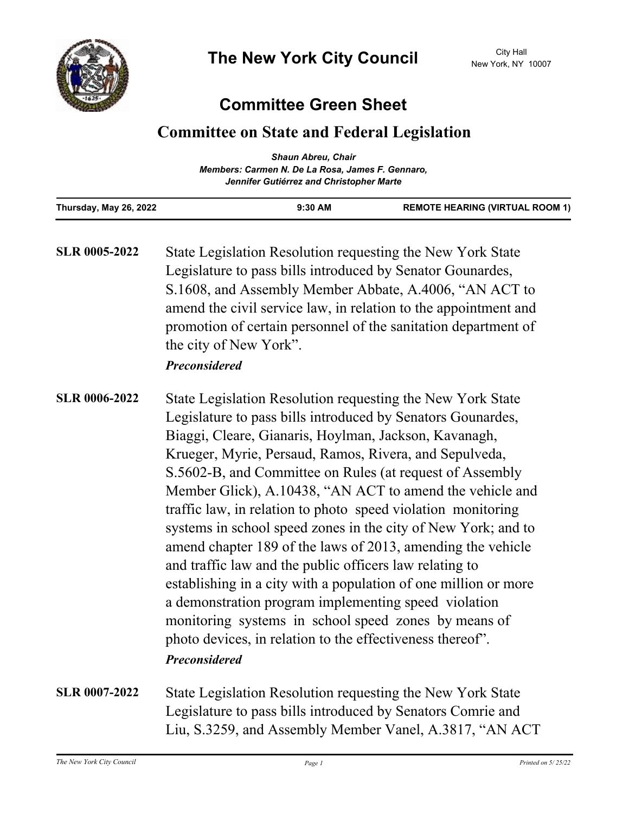

## **Committee Green Sheet**

## **Committee on State and Federal Legislation**

|                                                  | <b>Shaun Abreu, Chair</b>                |                                        |
|--------------------------------------------------|------------------------------------------|----------------------------------------|
| Members: Carmen N. De La Rosa, James F. Gennaro, |                                          |                                        |
|                                                  | Jennifer Gutiérrez and Christopher Marte |                                        |
| Thursday, May 26, 2022                           | $9:30$ AM                                | <b>REMOTE HEARING (VIRTUAL ROOM 1)</b> |

State Legislation Resolution requesting the New York State Legislature to pass bills introduced by Senator Gounardes, S.1608, and Assembly Member Abbate, A.4006, "AN ACT to amend the civil service law, in relation to the appointment and promotion of certain personnel of the sanitation department of the city of New York". **SLR 0005-2022**

- State Legislation Resolution requesting the New York State Legislature to pass bills introduced by Senators Gounardes, Biaggi, Cleare, Gianaris, Hoylman, Jackson, Kavanagh, Krueger, Myrie, Persaud, Ramos, Rivera, and Sepulveda, S.5602-B, and Committee on Rules (at request of Assembly Member Glick), A.10438, "AN ACT to amend the vehicle and traffic law, in relation to photo speed violation monitoring systems in school speed zones in the city of New York; and to amend chapter 189 of the laws of 2013, amending the vehicle and traffic law and the public officers law relating to establishing in a city with a population of one million or more a demonstration program implementing speed violation monitoring systems in school speed zones by means of photo devices, in relation to the effectiveness thereof". **SLR 0006-2022** *Preconsidered*
- State Legislation Resolution requesting the New York State Legislature to pass bills introduced by Senators Comrie and Liu, S.3259, and Assembly Member Vanel, A.3817, "AN ACT **SLR 0007-2022**

*Preconsidered*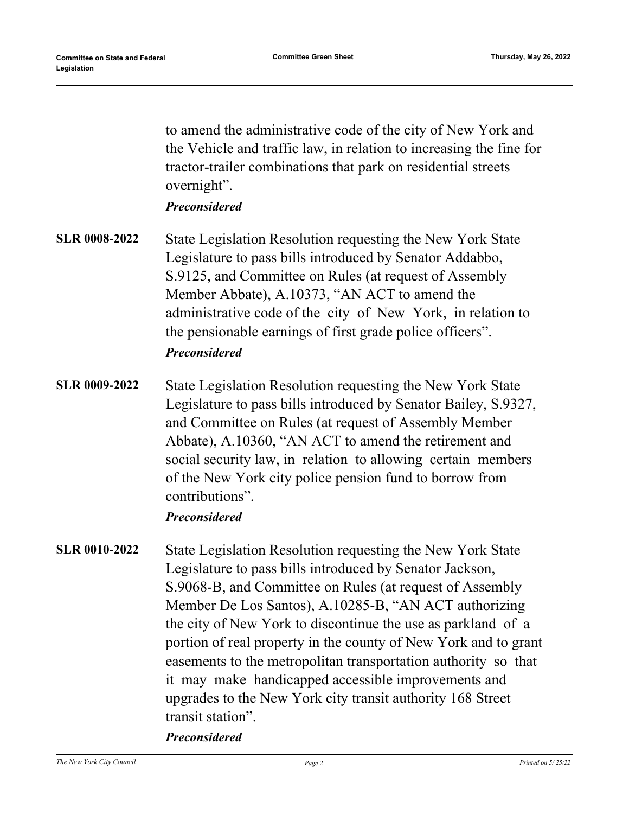to amend the administrative code of the city of New York and the Vehicle and traffic law, in relation to increasing the fine for tractor-trailer combinations that park on residential streets overnight".

*Preconsidered*

- State Legislation Resolution requesting the New York State Legislature to pass bills introduced by Senator Addabbo, S.9125, and Committee on Rules (at request of Assembly Member Abbate), A.10373, "AN ACT to amend the administrative code of the city of New York, in relation to the pensionable earnings of first grade police officers". **SLR 0008-2022** *Preconsidered*
- State Legislation Resolution requesting the New York State Legislature to pass bills introduced by Senator Bailey, S.9327, and Committee on Rules (at request of Assembly Member Abbate), A.10360, "AN ACT to amend the retirement and social security law, in relation to allowing certain members of the New York city police pension fund to borrow from contributions". **SLR 0009-2022**

## *Preconsidered*

State Legislation Resolution requesting the New York State Legislature to pass bills introduced by Senator Jackson, S.9068-B, and Committee on Rules (at request of Assembly Member De Los Santos), A.10285-B, "AN ACT authorizing the city of New York to discontinue the use as parkland of a portion of real property in the county of New York and to grant easements to the metropolitan transportation authority so that it may make handicapped accessible improvements and upgrades to the New York city transit authority 168 Street transit station". **SLR 0010-2022**

*Preconsidered*